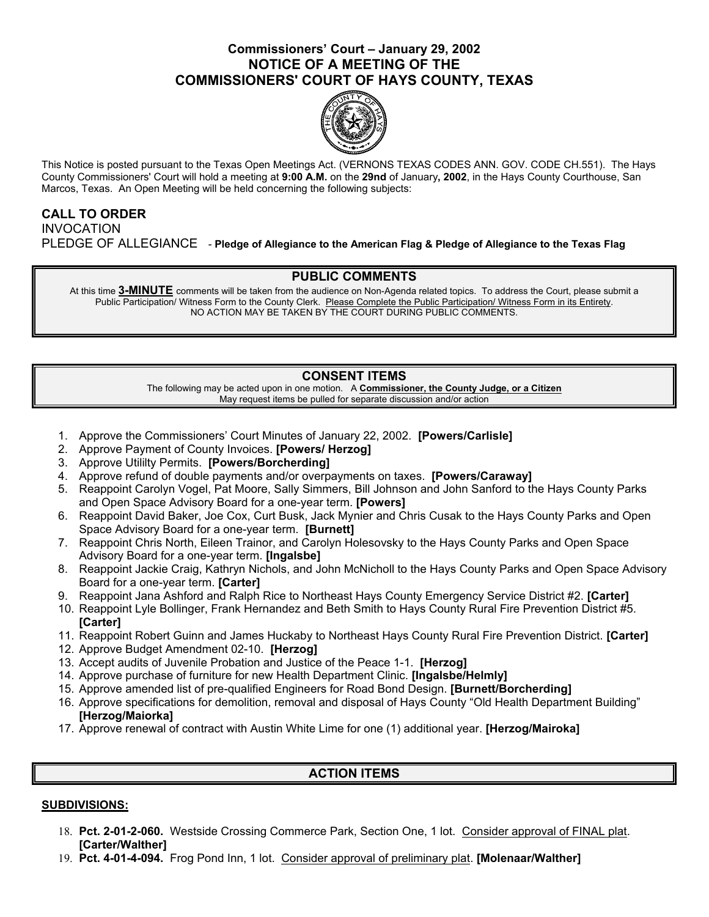# **Commissioners' Court – January 29, 2002 NOTICE OF A MEETING OF THE COMMISSIONERS' COURT OF HAYS COUNTY, TEXAS**



This Notice is posted pursuant to the Texas Open Meetings Act. (VERNONS TEXAS CODES ANN. GOV. CODE CH.551). The Hays County Commissioners' Court will hold a meeting at **9:00 A.M.** on the **29nd** of January**, 2002**, in the Hays County Courthouse, San Marcos, Texas. An Open Meeting will be held concerning the following subjects:

## **CALL TO ORDER**  INVOCATION PLEDGE OF ALLEGIANCE - **Pledge of Allegiance to the American Flag & Pledge of Allegiance to the Texas Flag**

# **PUBLIC COMMENTS**

At this time **3-MINUTE** comments will be taken from the audience on Non-Agenda related topics. To address the Court, please submit a Public Participation/ Witness Form to the County Clerk. Please Complete the Public Participation/ Witness Form in its Entirety. NO ACTION MAY BE TAKEN BY THE COURT DURING PUBLIC COMMENTS.

# **CONSENT ITEMS**

The following may be acted upon in one motion. A **Commissioner, the County Judge, or a Citizen** May request items be pulled for separate discussion and/or action

- 1. Approve the Commissioners' Court Minutes of January 22, 2002. **[Powers/Carlisle]**
- 2. Approve Payment of County Invoices. **[Powers/ Herzog]**
- 3. Approve Utililty Permits. **[Powers/Borcherding]**
- 4. Approve refund of double payments and/or overpayments on taxes. **[Powers/Caraway]**
- 5. Reappoint Carolyn Vogel, Pat Moore, Sally Simmers, Bill Johnson and John Sanford to the Hays County Parks and Open Space Advisory Board for a one-year term. **[Powers]**
- 6. Reappoint David Baker, Joe Cox, Curt Busk, Jack Mynier and Chris Cusak to the Hays County Parks and Open Space Advisory Board for a one-year term. **[Burnett]**
- 7. Reappoint Chris North, Eileen Trainor, and Carolyn Holesovsky to the Hays County Parks and Open Space Advisory Board for a one-year term. **[Ingalsbe]**
- 8. Reappoint Jackie Craig, Kathryn Nichols, and John McNicholl to the Hays County Parks and Open Space Advisory Board for a one-year term. **[Carter]**
- 9. Reappoint Jana Ashford and Ralph Rice to Northeast Hays County Emergency Service District #2. **[Carter]**
- 10. Reappoint Lyle Bollinger, Frank Hernandez and Beth Smith to Hays County Rural Fire Prevention District #5. **[Carter]**
- 11. Reappoint Robert Guinn and James Huckaby to Northeast Hays County Rural Fire Prevention District. **[Carter]**
- 12. Approve Budget Amendment 02-10. **[Herzog]**
- 13. Accept audits of Juvenile Probation and Justice of the Peace 1-1. **[Herzog]**
- 14. Approve purchase of furniture for new Health Department Clinic. **[Ingalsbe/Helmly]**
- 15. Approve amended list of pre-qualified Engineers for Road Bond Design. **[Burnett/Borcherding]**
- 16. Approve specifications for demolition, removal and disposal of Hays County "Old Health Department Building" **[Herzog/Maiorka]**
- 17. Approve renewal of contract with Austin White Lime for one (1) additional year. **[Herzog/Mairoka]**

### **ACTION ITEMS**

### **SUBDIVISIONS:**

- 18. **Pct. 2-01-2-060.** Westside Crossing Commerce Park, Section One, 1 lot. Consider approval of FINAL plat. **[Carter/Walther]**
- 19. **Pct. 4-01-4-094.** Frog Pond Inn, 1 lot. Consider approval of preliminary plat. **[Molenaar/Walther]**